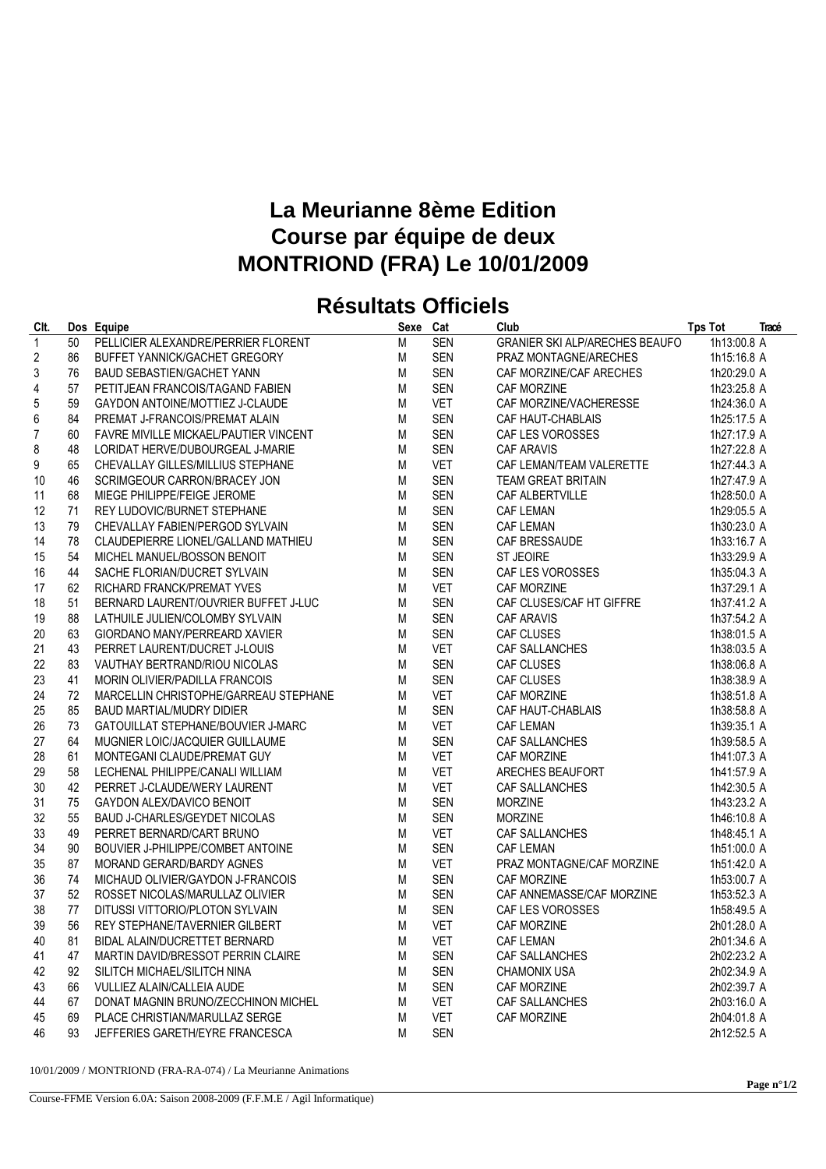## **La Meurianne 8ème Edition Course par équipe de deux MONTRIOND (FRA) Le 10/01/2009**

## **Résultats Officiels**

| CIt.             |    | Dos Equipe                            | Sexe Cat |            | Club                                                                           | <b>Tps Tot</b> | Tracé |
|------------------|----|---------------------------------------|----------|------------|--------------------------------------------------------------------------------|----------------|-------|
| $\overline{1}$   | 50 | PELLICIER ALEXANDRE/PERRIER FLORENT   | M        | <b>SEN</b> | <b>GRANIER SKI ALP/ARECHES BEAUFO</b>                                          | 1h13:00.8 A    |       |
| $\overline{2}$   | 86 | BUFFET YANNICK/GACHET GREGORY         | M        | <b>SEN</b> | PRAZ MONTAGNE/ARECHES                                                          | 1h15:16.8 A    |       |
| $\sqrt{3}$       | 76 | <b>BAUD SEBASTIEN/GACHET YANN</b>     | M        | <b>SEN</b> | CAF MORZINE/CAF ARECHES                                                        | 1h20:29.0 A    |       |
| $\overline{4}$   | 57 | PETITJEAN FRANCOIS/TAGAND FABIEN      | M        | <b>SEN</b> | CAF MORZINE                                                                    | 1h23:25.8 A    |       |
| 5                | 59 | GAYDON ANTOINE/MOTTIEZ J-CLAUDE       | м        | <b>VET</b> | CAF MORZINE/VACHERESSE                                                         | 1h24:36.0 A    |       |
| $\boldsymbol{6}$ | 84 | PREMAT J-FRANCOIS/PREMAT ALAIN        | M        | <b>SEN</b> | CAF HAUT-CHABLAIS                                                              | 1h25:17.5 A    |       |
| $\overline{7}$   | 60 | FAVRE MIVILLE MICKAEL/PAUTIER VINCENT | М        | <b>SEN</b> | CAF LES VOROSSES                                                               | 1h27:17.9 A    |       |
| 8                | 48 | LORIDAT HERVE/DUBOURGEAL J-MARIE      | M        | <b>SEN</b> | <b>CAF ARAVIS</b>                                                              | 1h27:22.8 A    |       |
| 9                | 65 | CHEVALLAY GILLES/MILLIUS STEPHANE     | M        | <b>VET</b> | CAF LEMAN/TEAM VALERETTE                                                       | 1h27:44.3 A    |       |
| 10               | 46 | SCRIMGEOUR CARRON/BRACEY JON          | м        | <b>SEN</b> | TEAM GREAT BRITAIN                                                             | 1h27:47.9 A    |       |
| 11               | 68 | MIEGE PHILIPPE/FEIGE JEROME           | M        | <b>SEN</b> | CAF ALBERTVILLE                                                                | 1h28:50.0 A    |       |
| 12               | 71 | REY LUDOVIC/BURNET STEPHANE           | M        | <b>SEN</b> | CAF LEMAN<br>CAF LEMAN<br>CAF BRESSAUDE<br>ST JEOIRE                           | 1h29:05.5 A    |       |
| 13               | 79 | CHEVALLAY FABIEN/PERGOD SYLVAIN       | M        | <b>SEN</b> |                                                                                | 1h30:23.0 A    |       |
| 14               | 78 | CLAUDEPIERRE LIONEL/GALLAND MATHIEU   | M        | <b>SEN</b> |                                                                                | 1h33:16.7 A    |       |
| 15               | 54 | MICHEL MANUEL/BOSSON BENOIT           | М        | <b>SEN</b> |                                                                                | 1h33:29.9 A    |       |
| 16               | 44 | SACHE FLORIAN/DUCRET SYLVAIN          | M        | <b>SEN</b> | CAF LES VOROSSES                                                               | 1h35:04.3 A    |       |
| 17               | 62 | RICHARD FRANCK/PREMAT YVES            | M        | <b>VET</b> | CAF MORZINE                                                                    | 1h37:29.1 A    |       |
| 18               | 51 | BERNARD LAURENT/OUVRIER BUFFET J-LUC  | M        | <b>SEN</b> | CAF CLUSES/CAF HT GIFFRE                                                       | 1h37:41.2 A    |       |
| 19               | 88 | LATHUILE JULIEN/COLOMBY SYLVAIN       | M        | <b>SEN</b> | <b>CAF ARAVIS</b>                                                              | 1h37:54.2 A    |       |
| 20               | 63 | GIORDANO MANY/PERREARD XAVIER         | M        | <b>SEN</b> | CAF CLUSES                                                                     | 1h38:01.5 A    |       |
| 21               | 43 | PERRET LAURENT/DUCRET J-LOUIS         | M        | <b>VET</b> | CAF SALLANCHES                                                                 | 1h38:03.5 A    |       |
| 22               | 83 | VAUTHAY BERTRAND/RIOU NICOLAS         | M        | <b>SEN</b> | CAF CLUSES                                                                     | 1h38:06.8 A    |       |
| 23               | 41 | MORIN OLIVIER/PADILLA FRANCOIS        | M        | <b>SEN</b> | CAF CLUSES                                                                     | 1h38:38.9 A    |       |
| 24               | 72 | MARCELLIN CHRISTOPHE/GARREAU STEPHANE | M        | <b>VET</b> | CAF MORZINE                                                                    | 1h38:51.8 A    |       |
| 25               | 85 | <b>BAUD MARTIAL/MUDRY DIDIER</b>      | м        | <b>SEN</b> | CAF HAUT-CHABLAIS<br>CAF LEMAN<br>CAF SALLANCHES                               | 1h38:58.8 A    |       |
| 26               | 73 | GATOUILLAT STEPHANE/BOUVIER J-MARC    | M        | <b>VET</b> |                                                                                | 1h39:35.1 A    |       |
| 27               | 64 | MUGNIER LOIC/JACQUIER GUILLAUME       | м        | <b>SEN</b> |                                                                                | 1h39:58.5 A    |       |
| 28               | 61 | MONTEGANI CLAUDE/PREMAT GUY           | M        | <b>VET</b> | CAF MORZINE                                                                    | 1h41:07.3 A    |       |
| 29               | 58 | LECHENAL PHILIPPE/CANALI WILLIAM      | M        | <b>VET</b> | SARECHES BEAUFORT<br>CAF SALLANCHES<br>MORZINE<br>MORZINE                      | 1h41:57.9 A    |       |
| 30               | 42 | PERRET J-CLAUDE/WERY LAURENT          | м        | <b>VET</b> |                                                                                | 1h42:30.5 A    |       |
| 31               | 75 | GAYDON ALEX/DAVICO BENOIT             | M        | SEN        |                                                                                | 1h43:23.2 A    |       |
| 32               | 55 | BAUD J-CHARLES/GEYDET NICOLAS         | M        | <b>SEN</b> | <b>MORZINE</b>                                                                 | 1h46:10.8 A    |       |
| 33               | 49 | PERRET BERNARD/CART BRUNO             | M        | <b>VET</b> | CAF SALLANCHES                                                                 | 1h48:45.1 A    |       |
| 34               | 90 | BOUVIER J-PHILIPPE/COMBET ANTOINE     | M        | <b>SEN</b> | <b>CAF LEMAN</b>                                                               | 1h51:00.0 A    |       |
| 35               | 87 | MORAND GERARD/BARDY AGNES             | M        | <b>VET</b> | PRAZ MONTAGNE/CAF MORZINE                                                      | 1h51:42.0 A    |       |
| 36               | 74 | MICHAUD OLIVIER/GAYDON J-FRANCOIS     | M        | <b>SEN</b> | CAF MORZINE                                                                    | 1h53:00.7 A    |       |
| 37               | 52 | ROSSET NICOLAS/MARULLAZ OLIVIER       | M        | <b>SEN</b> | CAF ANNEMASSE/CAF MORZINE                                                      | 1h53:52.3 A    |       |
| 38               | 77 | DITUSSI VITTORIO/PLOTON SYLVAIN       | M        | SEN        | CAF LES VOROSSES                                                               | 1h58:49.5 A    |       |
| 39               | 56 | REY STEPHANE/TAVERNIER GILBERT        | M        | <b>VET</b> | CAF MORZINE                                                                    | 2h01:28.0 A    |       |
| 40               | 81 | BIDAL ALAIN/DUCRETTET BERNARD         | M        | <b>VET</b> | <b>CAF LEMAN</b>                                                               | 2h01:34.6 A    |       |
| 41               | 47 | MARTIN DAVID/BRESSOT PERRIN CLAIRE    | M        | <b>SEN</b> |                                                                                | 2h02:23.2 A    |       |
| 42               | 92 | SILITCH MICHAEL/SILITCH NINA          | M        | <b>SEN</b> |                                                                                | 2h02:34.9 A    |       |
| 43               | 66 | VULLIEZ ALAIN/CALLEIA AUDE            | M        | SEN        | CAF SALLANCHES<br>CHAMONIX USA<br>CAF MORZINE<br>CAF SALLANCHES<br>CAF MORZINE | 2h02:39.7 A    |       |
| 44               | 67 | DONAT MAGNIN BRUNO/ZECCHINON MICHEL   | M        | <b>VET</b> |                                                                                | 2h03:16.0 A    |       |
| 45               | 69 | PLACE CHRISTIAN/MARULLAZ SERGE        | M        | <b>VET</b> |                                                                                | 2h04:01.8 A    |       |
| 46               | 93 | JEFFERIES GARETH/EYRE FRANCESCA       | M        | <b>SEN</b> |                                                                                | 2h12:52.5 A    |       |